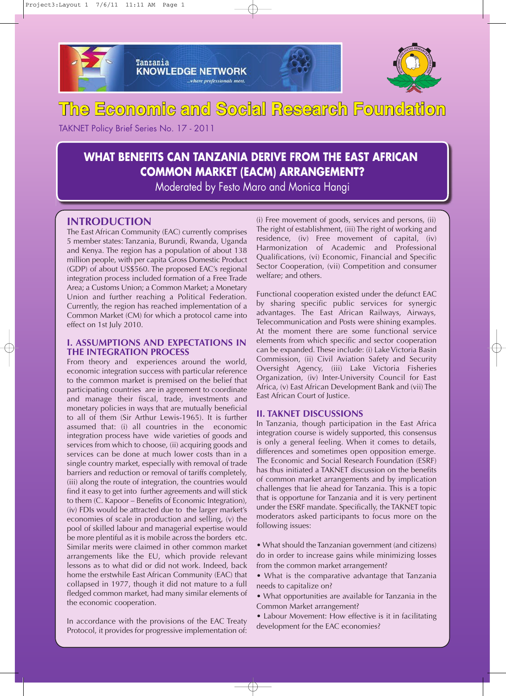

Tanzania **KNOWLEDGE NETWORK** where professionals meet.



# **The Economic and Social Research Foundation**

TAKNET Policy Brief Series No. 17 - 2011

# **WHAT BENEFITS CAN TANZANIA DERIVE FROM THE EAST AFRICAN COMMON MARKET (EACM) ARRANGEMENT?**

Moderated by Festo Maro and Monica Hangi

# **INTRODUCTION**

The East African Community (EAC) currently comprises 5 member states: Tanzania, Burundi, Rwanda, Uganda and Kenya. The region has a population of about 138 million people, with per capita Gross Domestic Product (GDP) of about US\$560. The proposed EAC's regional integration process included formation of a Free Trade Area; a Customs Union; a Common Market; a Monetary Union and further reaching a Political Federation. Currently, the region has reached implementation of a Common Market (CM) for which a protocol came into effect on 1st July 2010.

# **I. ASSUMPTIONS AND EXPECTATIONS IN THE INTEGRATION PROCESS**

From theory and experiences around the world, economic integration success with particular reference to the common market is premised on the belief that participating countries are in agreement to coordinate and manage their fiscal, trade, investments and monetary policies in ways that are mutually beneficial to all of them (Sir Arthur Lewis-1965). It is further assumed that: (i) all countries in the economic integration process have wide varieties of goods and services from which to choose, (ii) acquiring goods and services can be done at much lower costs than in a single country market, especially with removal of trade barriers and reduction or removal of tariffs completely, (iii) along the route of integration, the countries would find it easy to get into further agreements and will stick to them (C. Kapoor – Benefits of Economic Integration), (iv) FDIs would be attracted due to the larger market's economies of scale in production and selling, (v) the pool of skilled labour and managerial expertise would be more plentiful as it is mobile across the borders etc. Similar merits were claimed in other common market arrangements like the EU, which provide relevant lessons as to what did or did not work. Indeed, back home the erstwhile East African Community (EAC) that collapsed in 1977, though it did not mature to a full fledged common market, had many similar elements of the economic cooperation.

In accordance with the provisions of the EAC Treaty Protocol, it provides for progressive implementation of: (i) Free movement of goods, services and persons, (ii) The right of establishment, (iii) The right of working and residence, (iv) Free movement of capital, (iv) Harmonization of Academic and Professional Qualifications, (vi) Economic, Financial and Specific Sector Cooperation, (vii) Competition and consumer welfare; and others.

Functional cooperation existed under the defunct EAC by sharing specific public services for synergic advantages. The East African Railways, Airways, Telecommunication and Posts were shining examples. At the moment there are some functional service elements from which specific and sector cooperation can be expanded. These include: (i) Lake Victoria Basin Commission, (ii) Civil Aviation Safety and Security Oversight Agency, (iii) Lake Victoria Fisheries Organization, (iv) Inter-University Council for East Africa, (v) East African Development Bank and (vii) The East African Court of Justice.

## **II. TAKNET DISCUSSIONS**

In Tanzania, though participation in the East Africa integration course is widely supported, this consensus is only a general feeling. When it comes to details, differences and sometimes open opposition emerge. The Economic and Social Research Foundation (ESRF) has thus initiated a TAKNET discussion on the benefits of common market arrangements and by implication challenges that lie ahead for Tanzania. This is a topic that is opportune for Tanzania and it is very pertinent under the ESRF mandate. Specifically, the TAKNET topic moderators asked participants to focus more on the following issues:

• What should the Tanzanian government (and citizens) do in order to increase gains while minimizing losses from the common market arrangement?

- What is the comparative advantage that Tanzania needs to capitalize on?
- What opportunities are available for Tanzania in the Common Market arrangement?
- Labour Movement: How effective is it in facilitating development for the EAC economies?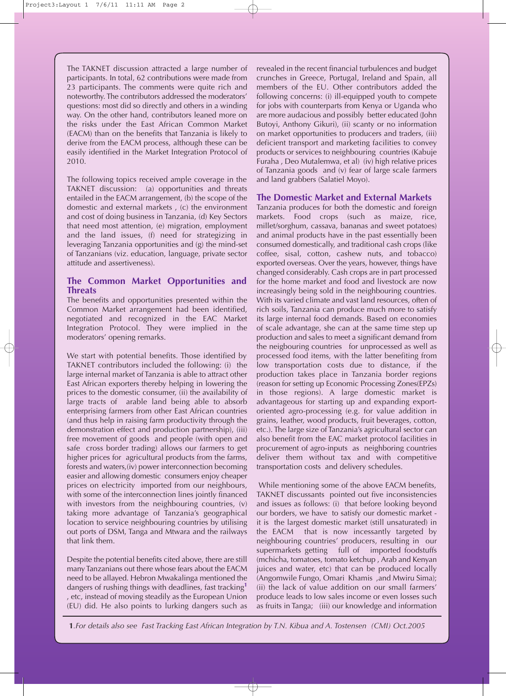The TAKNET discussion attracted a large number of participants. In total, 62 contributions were made from 23 participants. The comments were quite rich and noteworthy. The contributors addressed the moderators' questions: most did so directly and others in a winding way. On the other hand, contributors leaned more on the risks under the East African Common Market (EACM) than on the benefits that Tanzania is likely to derive from the EACM process, although these can be easily identified in the Market Integration Protocol of 2010.

The following topics received ample coverage in the TAKNET discussion: (a) opportunities and threats entailed in the EACM arrangement, (b) the scope of the domestic and external markets , (c) the environment and cost of doing business in Tanzania, (d) Key Sectors that need most attention, (e) migration, employment and the land issues, (f) need for strategizing in leveraging Tanzania opportunities and (g) the mind-set of Tanzanians (viz. education, language, private sector attitude and assertiveness).

# **The Common Market Opportunities and Threats**

The benefits and opportunities presented within the Common Market arrangement had been identified, negotiated and recognized in the EAC Market Integration Protocol. They were implied in the moderators' opening remarks.

We start with potential benefits. Those identified by TAKNET contributors included the following: (i) the large internal market of Tanzania is able to attract other East African exporters thereby helping in lowering the prices to the domestic consumer, (ii) the availability of large tracts of arable land being able to absorb enterprising farmers from other East African countries (and thus help in raising farm productivity through the demonstration effect and production partnership), (iii) free movement of goods and people (with open and safe cross border trading) allows our farmers to get higher prices for agricultural products from the farms, forests and waters,(iv) power interconnection becoming easier and allowing domestic consumers enjoy cheaper prices on electricity imported from our neighbours, with some of the interconnection lines jointly financed with investors from the neighbouring countries, (v) taking more advantage of Tanzania's geographical location to service neighbouring countries by utilising out ports of DSM, Tanga and Mtwara and the railways that link them.

Despite the potential benefits cited above, there are still many Tanzanians out there whose fears about the EACM need to be allayed. Hebron Mwakalinga mentioned the dangers of rushing things with deadlines, fast tracking**<sup>1</sup>** , etc, instead of moving steadily as the European Union (EU) did. He also points to lurking dangers such as revealed in the recent financial turbulences and budget crunches in Greece, Portugal, Ireland and Spain, all members of the EU. Other contributors added the following concerns: (i) ill-equipped youth to compete for jobs with counterparts from Kenya or Uganda who are more audacious and possibly better educated (John Butoyi, Anthony Gikuri), (ii) scanty or no information on market opportunities to producers and traders, (iii) deficient transport and marketing facilities to convey products or services to neighbouring countries (Kabuje Furaha , Deo Mutalemwa, et al) (iv) high relative prices of Tanzania goods and (v) fear of large scale farmers and land grabbers (Salatiel Moyo).

# **The Domestic Market and External Markets**

Tanzania produces for both the domestic and foreign markets. Food crops (such as maize, rice, millet/sorghum, cassava, bananas and sweet potatoes) and animal products have in the past essentially been consumed domestically, and traditional cash crops (like coffee, sisal, cotton, cashew nuts, and tobacco) exported overseas. Over the years, however, things have changed considerably. Cash crops are in part processed for the home market and food and livestock are now increasingly being sold in the neighbouring countries. With its varied climate and vast land resources, often of rich soils, Tanzania can produce much more to satisfy its large internal food demands. Based on economies of scale advantage, she can at the same time step up production and sales to meet a significant demand from the neigbouring countries for unprocessed as well as processed food items, with the latter benefiting from low transportation costs due to distance, if the production takes place in Tanzania border regions (reason for setting up Economic Processing Zones(EPZs) in those regions). A large domestic market is advantageous for starting up and expanding exportoriented agro-processing (e.g. for value addition in grains, leather, wood products, fruit beverages, cotton, etc.). The large size of Tanzania's agricultural sector can also benefit from the EAC market protocol facilities in procurement of agro-inputs as neighboring countries deliver them without tax and with competitive transportation costs and delivery schedules.

While mentioning some of the above EACM benefits, TAKNET discussants pointed out five inconsistencies and issues as follows: (i) that before looking beyond our borders, we have to satisfy our domestic market it is the largest domestic market (still unsaturated) in the EACM that is now incessantly targeted by neighbouring countries' producers, resulting in our supermarkets getting full of imported foodstuffs (mchicha, tomatoes, tomato ketchup , Arab and Kenyan juices and water, etc) that can be produced locally (Angomwile Fungo, Omari Khamis ,and Mwiru Sima); (ii) the lack of value addition on our small farmers' produce leads to low sales income or even losses such as fruits in Tanga; (iii) our knowledge and information

**1***.For details also see Fast Tracking East African Integration by T.N. Kibua and A. Tostensen (CMI) Oct.2005*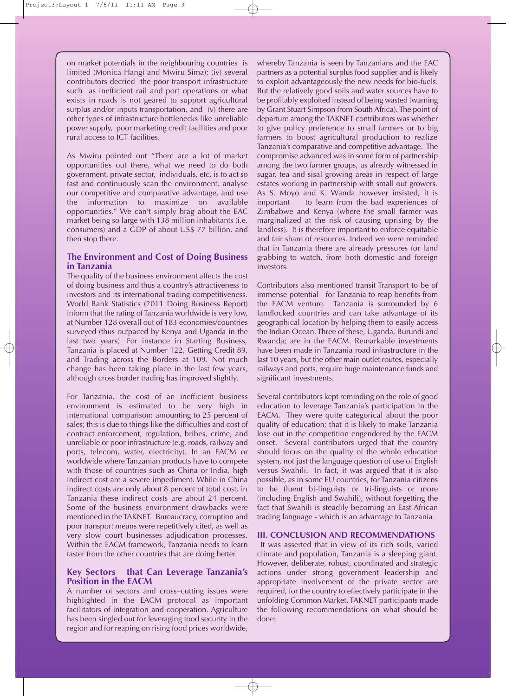on market potentials in the neighbouring countries is limited (Monica Hangi and Mwiru Sima); (iv) several contributors decried the poor transport infrastructure such as inefficient rail and port operations or what exists in roads is not geared to support agricultural surplus and/or inputs transportation, and (v) there are other types of infrastructure bottlenecks like unreliable power supply, poor marketing credit facilities and poor rural access to ICT facilities.

As Mwiru pointed out "There are a lot of market opportunities out there, what we need to do both government, private sector, individuals, etc. is to act so fast and continuously scan the environment, analyse our competitive and comparative advantage, and use the information to maximize on available opportunities." We can't simply brag about the EAC market being so large with 138 million inhabitants (i.e. consumers) and a GDP of about US\$ 77 billion, and then stop there.

### **The Environment and Cost of Doing Business in Tanzania**

The quality of the business environment affects the cost of doing business and thus a country's attractiveness to investors and its international trading competitiveness. World Bank Statistics (2011 Doing Business Report) inform that the rating of Tanzania worldwide is very low, at Number 128 overall out of 183 economies/countries surveyed (thus outpaced by Kenya and Uganda in the last two years). For instance in Starting Business, Tanzania is placed at Number 122, Getting Credit 89, and Trading across the Borders at 109. Not much change has been taking place in the last few years, although cross border trading has improved slightly.

For Tanzania, the cost of an inefficient business environment is estimated to be very high in international comparison: amounting to 25 percent of sales; this is due to things like the difficulties and cost of contract enforcement, regulation, bribes, crime, and unreliable or poor infrastructure (e.g. roads, railway and ports, telecom, water, electricity). In an EACM or worldwide where Tanzanian products have to compete with those of countries such as China or India, high indirect cost are a severe impediment. While in China indirect costs are only about 8 percent of total cost, in Tanzania these indirect costs are about 24 percent. Some of the business environment drawbacks were mentioned in the TAKNET. Bureaucracy, corruption and poor transport means were repetitively cited, as well as very slow court businesses adjudication processes. Within the EACM framework, Tanzania needs to learn faster from the other countries that are doing better.

# **Key Sectors that Can Leverage Tanzania's Position in the EACM**

A number of sectors and cross–cutting issues were highlighted in the EACM protocol as important facilitators of integration and cooperation. Agriculture has been singled out for leveraging food security in the region and for reaping on rising food prices worldwide,

whereby Tanzania is seen by Tanzanians and the EAC partners as a potential surplus food supplier and is likely to exploit advantageously the new needs for bio-fuels. But the relatively good soils and water sources have to be profitably exploited instead of being wasted (warning by Grant Stuart Simpson from South Africa). The point of departure among the TAKNET contributors was whether to give policy preference to small farmers or to big farmers to boost agricultural production to realize Tanzania's comparative and competitive advantage. The compromise advanced was in some form of partnership among the two farmer groups, as already witnessed in sugar, tea and sisal growing areas in respect of large estates working in partnership with small out growers. As S. Moyo and K. Wanda however insisted, it is important to learn from the bad experiences of Zimbabwe and Kenya (where the small farmer was marginalized at the risk of causing uprising by the landless). It is therefore important to enforce equitable and fair share of resources. Indeed we were reminded that in Tanzania there are already pressures for land grabbing to watch, from both domestic and foreign investors.

Contributors also mentioned transit Transport to be of immense potential for Tanzania to reap benefits from the EACM venture. Tanzania is surrounded by 6 landlocked countries and can take advantage of its geographical location by helping them to easily access the Indian Ocean. Three of these, Uganda, Burundi and Rwanda; are in the EACM. Remarkable investments have been made in Tanzania road infrastructure in the last 10 years, but the other main outlet routes, especially railways and ports, require huge maintenance funds and significant investments.

Several contributors kept reminding on the role of good education to leverage Tanzania's participation in the EACM. They were quite categorical about the poor quality of education; that it is likely to make Tanzania lose out in the competition engendered by the EACM onset. Several contributors urged that the country should focus on the quality of the whole education system, not just the language question of use of English versus Swahili. In fact, it was argued that it is also possible, as in some EU countries, for Tanzania citizens to be fluent bi-linguists or tri-linguists or more (including English and Swahili), without forgetting the fact that Swahili is steadily becoming an East African trading language - which is an advantage to Tanzania.

#### **III. CONCLUSION AND RECOMMENDATIONS**

It was asserted that in view of its rich soils, varied climate and population, Tanzania is a sleeping giant. However, deliberate, robust, coordinated and strategic actions under strong government leadership and appropriate involvement of the private sector are required, for the country to effectively participate in the unfolding Common Market. TAKNET participants made the following recommendations on what should be done: